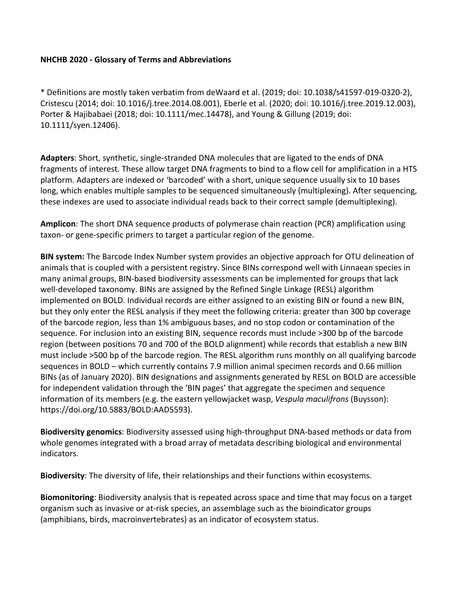## **NHCHB 2020 - Glossary of Terms and Abbreviations**

\* Definitions are mostly taken verbatim from deWaard et al. (2019; doi: 10.1038/s41597-019-0320-2), Cristescu (2014; doi: 10.1016/j.tree.2014.08.001), Eberle et al. (2020; doi: 10.1016/j.tree.2019.12.003), Porter & Hajibabaei (2018; doi: 10.1111/mec.14478), and Young & Gillung (2019; doi: 10.1111/syen.12406).

**Adapters**: Short, synthetic, single-stranded DNA molecules that are ligated to the ends of DNA fragments of interest. These allow target DNA fragments to bind to a flow cell for amplification in a HTS platform. Adapters are indexed or 'barcoded' with a short, unique sequence usually six to 10 bases long, which enables multiple samples to be sequenced simultaneously (multiplexing). After sequencing, these indexes are used to associate individual reads back to their correct sample (demultiplexing).

**Amplicon**: The short DNA sequence products of polymerase chain reaction (PCR) amplification using taxon- or gene-specific primers to target a particular region of the genome.

**BIN system:** The Barcode Index Number system provides an objective approach for OTU delineation of animals that is coupled with a persistent registry. Since BINs correspond well with Linnaean species in many animal groups, BIN-based biodiversity assessments can be implemented for groups that lack well-developed taxonomy. BINs are assigned by the Refined Single Linkage (RESL) algorithm implemented on BOLD. Individual records are either assigned to an existing BIN or found a new BIN, but they only enter the RESL analysis if they meet the following criteria: greater than 300 bp coverage of the barcode region, less than 1% ambiguous bases, and no stop codon or contamination of the sequence. For inclusion into an existing BIN, sequence records must include >300 bp of the barcode region (between positions 70 and 700 of the BOLD alignment) while records that establish a new BIN must include >500 bp of the barcode region. The RESL algorithm runs monthly on all qualifying barcode sequences in BOLD – which currently contains 7.9 million animal specimen records and 0.66 million BINs (as of January 2020). BIN designations and assignments generated by RESL on BOLD are accessible for independent validation through the 'BIN pages' that aggregate the specimen and sequence information of its members (e.g. the eastern yellowjacket wasp, *Vespula maculifrons* (Buysson): https://doi.org/10.5883/BOLD:AAD5593).

**Biodiversity genomics**: Biodiversity assessed using high-throughput DNA-based methods or data from whole genomes integrated with a broad array of metadata describing biological and environmental indicators.

**Biodiversity**: The diversity of life, their relationships and their functions within ecosystems.

**Biomonitoring**: Biodiversity analysis that is repeated across space and time that may focus on a target organism such as invasive or at-risk species, an assemblage such as the bioindicator groups (amphibians, birds, macroinvertebrates) as an indicator of ecosystem status.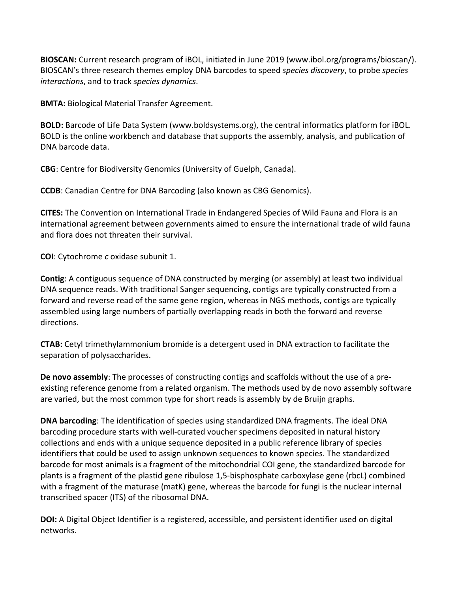**BIOSCAN:** Current research program of iBOL, initiated in June 2019 (www.ibol.org/programs/bioscan/). BIOSCAN's three research themes employ DNA barcodes to speed *species discovery*, to probe *species interactions*, and to track *species dynamics*.

**BMTA:** Biological Material Transfer Agreement.

**BOLD:** Barcode of Life Data System (www.boldsystems.org), the central informatics platform for iBOL. BOLD is the online workbench and database that supports the assembly, analysis, and publication of DNA barcode data.

**CBG**: Centre for Biodiversity Genomics (University of Guelph, Canada).

**CCDB**: Canadian Centre for DNA Barcoding (also known as CBG Genomics).

**CITES:** The Convention on International Trade in Endangered Species of Wild Fauna and Flora is an international agreement between governments aimed to ensure the international trade of wild fauna and flora does not threaten their survival.

**COI**: Cytochrome *c* oxidase subunit 1.

**Contig**: A contiguous sequence of DNA constructed by merging (or assembly) at least two individual DNA sequence reads. With traditional Sanger sequencing, contigs are typically constructed from a forward and reverse read of the same gene region, whereas in NGS methods, contigs are typically assembled using large numbers of partially overlapping reads in both the forward and reverse directions.

**CTAB:** Cetyl trimethylammonium bromide is a detergent used in DNA extraction to facilitate the separation of polysaccharides.

**De novo assembly**: The processes of constructing contigs and scaffolds without the use of a preexisting reference genome from a related organism. The methods used by de novo assembly software are varied, but the most common type for short reads is assembly by de Bruijn graphs.

**DNA barcoding**: The identification of species using standardized DNA fragments. The ideal DNA barcoding procedure starts with well-curated voucher specimens deposited in natural history collections and ends with a unique sequence deposited in a public reference library of species identifiers that could be used to assign unknown sequences to known species. The standardized barcode for most animals is a fragment of the mitochondrial COI gene, the standardized barcode for plants is a fragment of the plastid gene ribulose 1,5-bisphosphate carboxylase gene (rbcL) combined with a fragment of the maturase (matK) gene, whereas the barcode for fungi is the nuclear internal transcribed spacer (ITS) of the ribosomal DNA.

**DOI:** A Digital Object Identifier is a registered, accessible, and persistent identifier used on digital networks.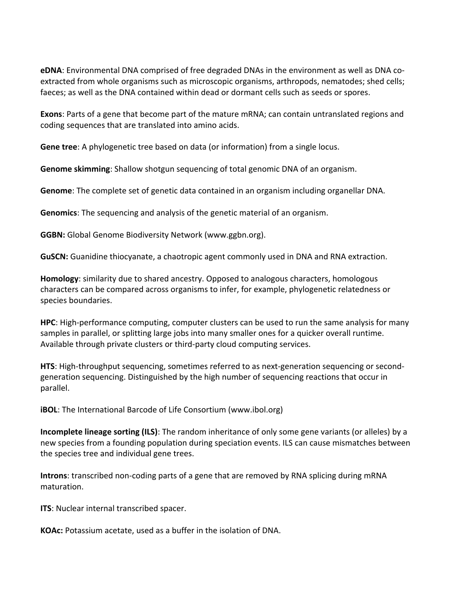**eDNA**: Environmental DNA comprised of free degraded DNAs in the environment as well as DNA coextracted from whole organisms such as microscopic organisms, arthropods, nematodes; shed cells; faeces; as well as the DNA contained within dead or dormant cells such as seeds or spores.

**Exons**: Parts of a gene that become part of the mature mRNA; can contain untranslated regions and coding sequences that are translated into amino acids.

**Gene tree**: A phylogenetic tree based on data (or information) from a single locus.

**Genome skimming**: Shallow shotgun sequencing of total genomic DNA of an organism.

**Genome**: The complete set of genetic data contained in an organism including organellar DNA.

**Genomics**: The sequencing and analysis of the genetic material of an organism.

**GGBN:** Global Genome Biodiversity Network (www.ggbn.org).

**GuSCN:** Guanidine thiocyanate, a chaotropic agent commonly used in DNA and RNA extraction.

**Homology**: similarity due to shared ancestry. Opposed to analogous characters, homologous characters can be compared across organisms to infer, for example, phylogenetic relatedness or species boundaries.

**HPC**: High-performance computing, computer clusters can be used to run the same analysis for many samples in parallel, or splitting large jobs into many smaller ones for a quicker overall runtime. Available through private clusters or third-party cloud computing services.

**HTS**: High-throughput sequencing, sometimes referred to as next-generation sequencing or secondgeneration sequencing. Distinguished by the high number of sequencing reactions that occur in parallel.

**iBOL**: The International Barcode of Life Consortium (www.ibol.org)

**Incomplete lineage sorting (ILS)**: The random inheritance of only some gene variants (or alleles) by a new species from a founding population during speciation events. ILS can cause mismatches between the species tree and individual gene trees.

**Introns**: transcribed non-coding parts of a gene that are removed by RNA splicing during mRNA maturation.

**ITS**: Nuclear internal transcribed spacer.

**KOAc:** Potassium acetate, used as a buffer in the isolation of DNA.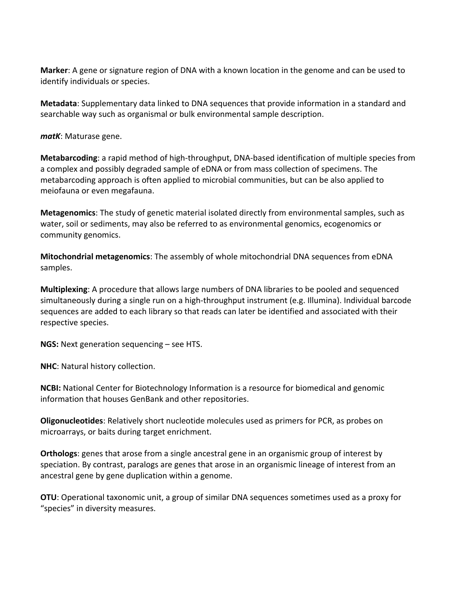**Marker**: A gene or signature region of DNA with a known location in the genome and can be used to identify individuals or species.

**Metadata**: Supplementary data linked to DNA sequences that provide information in a standard and searchable way such as organismal or bulk environmental sample description.

*matK*: Maturase gene.

**Metabarcoding**: a rapid method of high-throughput, DNA-based identification of multiple species from a complex and possibly degraded sample of eDNA or from mass collection of specimens. The metabarcoding approach is often applied to microbial communities, but can be also applied to meiofauna or even megafauna.

**Metagenomics**: The study of genetic material isolated directly from environmental samples, such as water, soil or sediments, may also be referred to as environmental genomics, ecogenomics or community genomics.

**Mitochondrial metagenomics**: The assembly of whole mitochondrial DNA sequences from eDNA samples.

**Multiplexing**: A procedure that allows large numbers of DNA libraries to be pooled and sequenced simultaneously during a single run on a high-throughput instrument (e.g. Illumina). Individual barcode sequences are added to each library so that reads can later be identified and associated with their respective species.

**NGS:** Next generation sequencing – see HTS.

**NHC**: Natural history collection.

**NCBI:** National Center for Biotechnology Information is a resource for biomedical and genomic information that houses GenBank and other repositories.

**Oligonucleotides**: Relatively short nucleotide molecules used as primers for PCR, as probes on microarrays, or baits during target enrichment.

**Orthologs**: genes that arose from a single ancestral gene in an organismic group of interest by speciation. By contrast, paralogs are genes that arose in an organismic lineage of interest from an ancestral gene by gene duplication within a genome.

**OTU**: Operational taxonomic unit, a group of similar DNA sequences sometimes used as a proxy for "species" in diversity measures.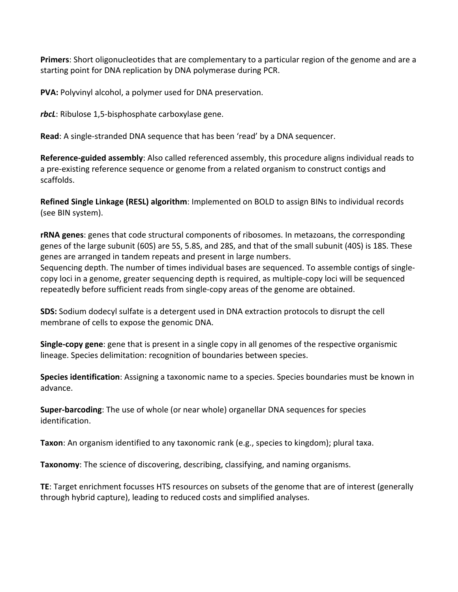**Primers**: Short oligonucleotides that are complementary to a particular region of the genome and are a starting point for DNA replication by DNA polymerase during PCR.

**PVA:** Polyvinyl alcohol, a polymer used for DNA preservation.

*rbcL*: Ribulose 1,5-bisphosphate carboxylase gene.

**Read**: A single-stranded DNA sequence that has been 'read' by a DNA sequencer.

**Reference-guided assembly**: Also called referenced assembly, this procedure aligns individual reads to a pre-existing reference sequence or genome from a related organism to construct contigs and scaffolds.

**Refined Single Linkage (RESL) algorithm**: Implemented on BOLD to assign BINs to individual records (see BIN system).

**rRNA genes**: genes that code structural components of ribosomes. In metazoans, the corresponding genes of the large subunit (60S) are 5S, 5.8S, and 28S, and that of the small subunit (40S) is 18S. These genes are arranged in tandem repeats and present in large numbers.

Sequencing depth. The number of times individual bases are sequenced. To assemble contigs of singlecopy loci in a genome, greater sequencing depth is required, as multiple-copy loci will be sequenced repeatedly before sufficient reads from single-copy areas of the genome are obtained.

**SDS:** Sodium dodecyl sulfate is a detergent used in DNA extraction protocols to disrupt the cell membrane of cells to expose the genomic DNA.

**Single-copy gene**: gene that is present in a single copy in all genomes of the respective organismic lineage. Species delimitation: recognition of boundaries between species.

**Species identification**: Assigning a taxonomic name to a species. Species boundaries must be known in advance.

**Super-barcoding**: The use of whole (or near whole) organellar DNA sequences for species identification.

**Taxon**: An organism identified to any taxonomic rank (e.g., species to kingdom); plural taxa.

**Taxonomy**: The science of discovering, describing, classifying, and naming organisms.

**TE**: Target enrichment focusses HTS resources on subsets of the genome that are of interest (generally through hybrid capture), leading to reduced costs and simplified analyses.